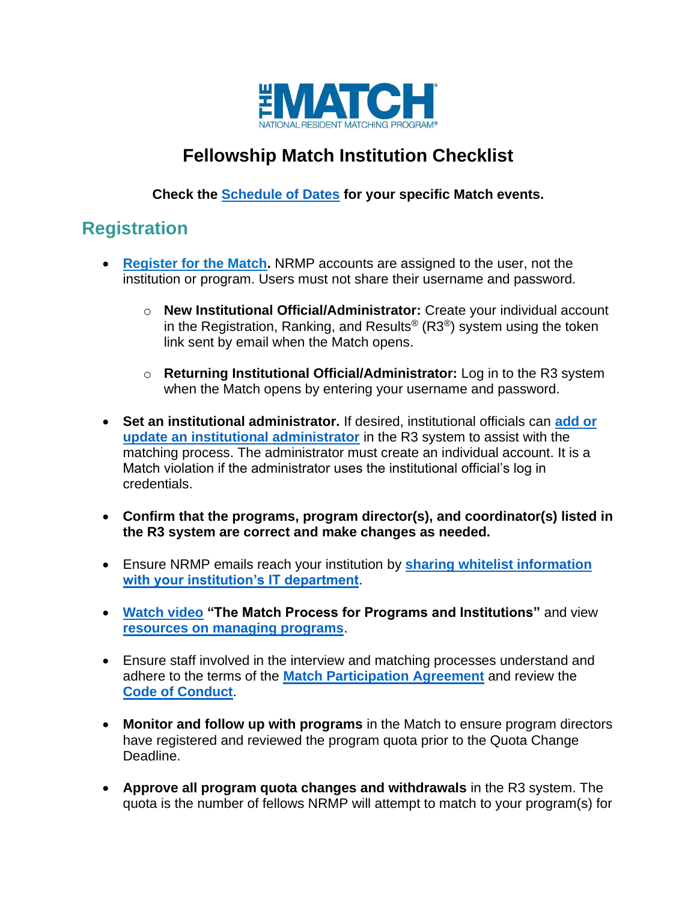

### **Fellowship Match Institution Checklist**

#### **Check the [Schedule of Dates](http://www.nrmp.org/match-calendars/fellowship-calendars/) for your specific Match events.**

### **Registration**

- **[Register for the Match.](https://r3.nrmp.org/viewLoginPage)** NRMP accounts are assigned to the user, not the institution or program. Users must not share their username and password.
	- o **New Institutional Official/Administrator:** Create your individual account in the Registration, Ranking, and Results<sup>®</sup> (R3<sup>®</sup>) system using the token link sent by email when the Match opens.
	- o **Returning Institutional Official/Administrator:** Log in to the R3 system when the Match opens by entering your username and password.
- **Set an institutional administrator.** If desired, institutional officials can **[add or](https://www.nrmp.org/wp-content/uploads/2021/08/Add_Maintain_-IA-IO.pdf)  [update an institutional administrator](https://www.nrmp.org/wp-content/uploads/2021/08/Add_Maintain_-IA-IO.pdf)** in the R3 system to assist with the matching process. The administrator must create an individual account. It is a Match violation if the administrator uses the institutional official's log in credentials.
- **Confirm that the programs, program director(s), and coordinator(s) listed in the R3 system are correct and make changes as needed.**
- Ensure NRMP emails reach your institution by **[sharing whitelist information](http://www.nrmp.org/help/item/whitelisting-nrmp-emails/)  [with your institution's IT department](http://www.nrmp.org/help/item/whitelisting-nrmp-emails/)**.
- **[Watch video](https://www.nrmp.org/programs-institutions/) "The Match Process for Programs and Institutions"** and view **[resources on managing programs](https://www.nrmp.org/programs-institutions/managing-programs-in-the-match/)**.
- Ensure staff involved in the interview and matching processes understand and adhere to the terms of the **[Match Participation Agreement](https://www.nrmp.org/policies/)** and review the **[Code of Conduct](https://www.nrmp.org/intro-to-the-match/the-match-agreement/match-codes-of-conduct/)**.
- **Monitor and follow up with programs** in the Match to ensure program directors have registered and reviewed the program quota prior to the Quota Change Deadline.
- **Approve all program quota changes and withdrawals** in the R3 system. The quota is the number of fellows NRMP will attempt to match to your program(s) for